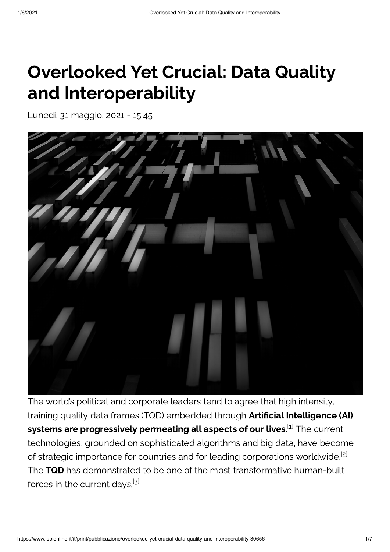## Overlooked Yet Crucial: Data Quality and Interoperability

Lunedì, 31 maggio, 2021 - 15:45



The world's political and corporate leaders tend to agree that high intensity, training quality data frames (TQD) embedded through **Artificial Intelligence (AI)**  $\mathsf{s}$ ystems are progressively permeating all aspects of our lives. $^{[1]}$  The current technologies, grounded on sophisticated algorithms and big data, have become of strategic importance for countries and for leading corporations worldwide.<sup>[2]</sup> The TQD has demonstrated to be one of the most transformative human-built forces in the current days.<sup>[3]</sup>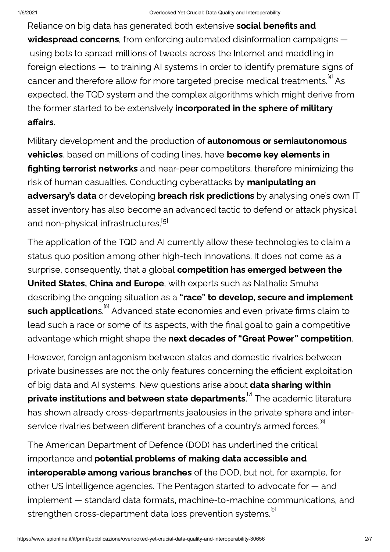Reliance on big data has generated both extensive **social benefits and** widespread concerns, from enforcing automated disinformation campaigns – using bots to spread millions of tweets across the Internet and meddling in foreign elections — to training AI systems in order to identify premature signs of cancer and therefore allow for more targeted precise medical treatments. $^\text{\tiny{[4]}}$  As expected, the TQD system and the complex algorithms which might derive from the former started to be extensively **incorporated in the sphere of military** affairs.

Military development and the production of **autonomous or semiautonomous** vehicles, based on millions of coding lines, have become key elements in **fighting terrorist networks** and near-peer competitors, therefore minimizing the risk of human casualties. Conducting cyberattacks by **manipulating an** adversary's data or developing breach risk predictions by analysing one's own IT asset inventory has also become an advanced tactic to defend or attack physical and non-physical infrastructures.<sup>[5]</sup>

The application of the TQD and AI currently allow these technologies to claim a status quo position among other high-tech innovations. It does not come as a surprise, consequently, that a global competition has emerged between the United States, China and Europe, with experts such as Nathalie Smuha describing the ongoing situation as a "race" to develop, secure and implement **such application**s.<sup>[6]</sup> Advanced state economies and even private firms claim to lead such a race or some of its aspects, with the final goal to gain a competitive advantage which might shape the next decades of "Great Power" competition.

However, foreign antagonism between states and domestic rivalries between private businesses are not the only features concerning the efficient exploitation of big data and AI systems. New questions arise about data sharing within **private institutions and between state departments**. The academic literature has shown already cross-departments jealousies in the private sphere and interservice rivalries between different branches of a country's armed forces. $^{\text{\tiny{[8]}}}$ 

The American Department of Defence (DOD) has underlined the critical importance and potential problems of making data accessible and interoperable among various branches of the DOD, but not, for example, for other US intelligence agencies. The Pentagon started to advocate for — and implement — standard data formats, machine-to-machine communications, and strengthen cross-department data loss prevention systems. <sup>[9]</sup>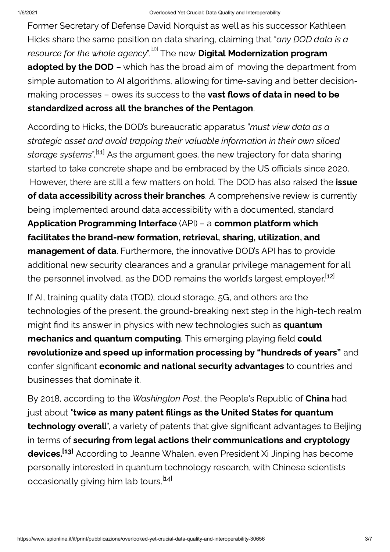Former Secretary of Defense David Norquist as well as his successor Kathleen Hicks share the same position on data sharing, claiming that "any DOD data is a *resource for the whole agency".<sup>[10]</sup> The new Digital Modernization program* adopted by the DOD – which has the broad aim of moving the department from simple automation to AI algorithms, allowing for time-saving and better decisionmaking processes  $-$  owes its success to the vast flows of data in need to be standardized across all the branches of the Pentagon.

According to Hicks, the DOD's bureaucratic apparatus "must view data as a strategic asset and avoid trapping their valuable information in their own siloed s*torage systems".<sup>[11]</sup> As the argument goes, the new trajectory for data sharing* started to take concrete shape and be embraced by the US officials since 2020. However, there are still a few matters on hold. The DOD has also raised the **issue** of data accessibility across their branches. A comprehensive review is currently being implemented around data accessibility with a documented, standard Application Programming Interface (API) – a common platform which facilitates the brand-new formation, retrieval, sharing, utilization, and management of data. Furthermore, the innovative DOD's API has to provide additional new security clearances and a granular privilege management for all the personnel involved, as the DOD remains the world's largest employer.<sup>[12]</sup>

If AI, training quality data (TQD), cloud storage, 5G, and others are the technologies of the present, the ground-breaking next step in the high-tech realm might find its answer in physics with new technologies such as quantum mechanics and quantum computing. This emerging playing field could revolutionize and speed up information processing by "hundreds of years" and confer significant **economic and national security advantages** to countries and businesses that dominate it.

By 2018, according to the Washington Post, the People's Republic of China had just about "twice as many patent filings as the United States for quantum technology overall", a variety of patents that give significant advantages to Beijing in terms of securing from legal actions their communications and cryptology **devices.<sup>[13]</sup> According to Jeanne Whalen, even President Xi Jinping has become** personally interested in quantum technology research, with Chinese scientists occasionally giving him lab tours.<sup>[14]</sup>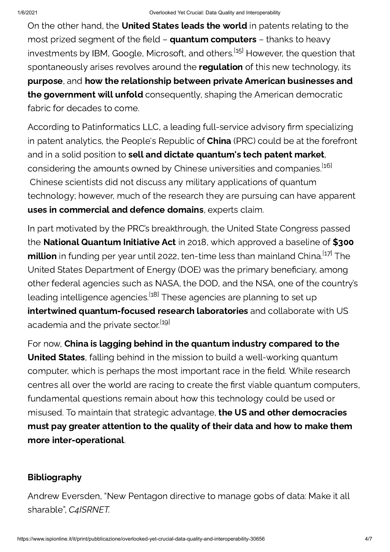On the other hand, the United States leads the world in patents relating to the most prized segment of the field – **quantum computers** – thanks to heavy investments by IBM, Google, Microsoft, and others.<sup>[15]</sup> However, the question that spontaneously arises revolves around the regulation of this new technology, its purpose, and how the relationship between private American businesses and the government will unfold consequently, shaping the American democratic fabric for decades to come.

According to Patinformatics LLC, a leading full-service advisory firm specializing in patent analytics, the People's Republic of **China** (PRC) could be at the forefront and in a solid position to sell and dictate quantum's tech patent market, considering the amounts owned by Chinese universities and companies.<sup>[16]</sup> Chinese scientists did not discuss any military applications of quantum technology; however, much of the research they are pursuing can have apparent uses in commercial and defence domains, experts claim.

In part motivated by the PRC's breakthrough, the United State Congress passed the **National Quantum Initiative Act** in 2018, which approved a baseline of \$300 **million** in funding per year until 2022, ten-time less than mainland China.<sup>[17]</sup> The United States Department of Energy (DOE) was the primary beneficiary, among other federal agencies such as NASA, the DOD, and the NSA, one of the country's leading intelligence agencies.<sup>[18]</sup> These agencies are planning to set up intertwined quantum-focused research laboratories and collaborate with US academia and the private sector.<sup>[19]</sup>

For now, China is lagging behind in the quantum industry compared to the United States, falling behind in the mission to build a well-working quantum computer, which is perhaps the most important race in the field. While research centres all over the world are racing to create the first viable quantum computers, fundamental questions remain about how this technology could be used or misused. To maintain that strategic advantage, **the US and other democracies** must pay greater attention to the quality of their data and how to make them more inter-operational.

## Bibliography

Andrew Eversden, "New Pentagon directive to manage gobs of data: Make it all sharable", C4ISRNET.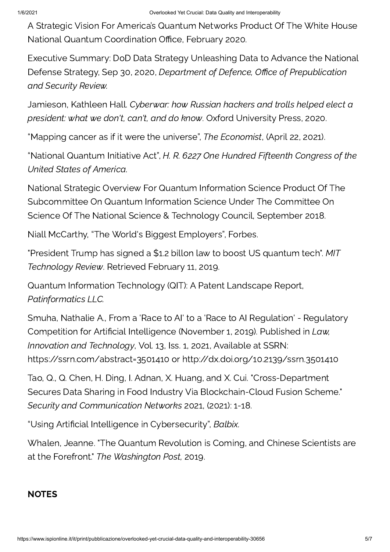A Strategic Vision For America's Quantum Networks Product Of The White House National Quantum Coordination Office, February 2020.

Executive Summary: DoD Data Strategy Unleashing Data to Advance the National Defense Strategy, Sep 30, 2020, Department of Defence, Office of Prepublication and Security Review.

Jamieson, Kathleen Hall. Cyberwar: how Russian hackers and trolls helped elect a president: what we don't, can't, and do know. Oxford University Press, 2020.

"Mapping cancer as if it were the universe", The Economist, (April 22, 2021).

"National Quantum Initiative Act", H. R. 6227 One Hundred Fifteenth Congress of the United States of America.

National Strategic Overview For Quantum Information Science Product Of The Subcommittee On Quantum Information Science Under The Committee On Science Of The National Science & Technology Council, September 2018.

Niall McCarthy, "The World's Biggest Employers", Forbes.

"President Trump has signed a \$1.2 billon law to boost US quantum tech". MIT Technology Review. Retrieved February 11, 2019.

Quantum Information Technology (QIT): A Patent Landscape Report, Patinformatics LLC.

Smuha, Nathalie A., From a 'Race to AI' to a 'Race to AI Regulation' - Regulatory Competition for Artificial Intelligence (November 1, 2019). Published in Law, Innovation and Technology, Vol. 13, Iss. 1, 2021, Available at SSRN: https://ssrn.com/abstract=3501410 or http://dx.doi.org/10.2139/ssrn.3501410

Tao, Q., Q. Chen, H. Ding, I. Adnan, X. Huang, and X. Cui. "Cross-Department Secures Data Sharing in Food Industry Via Blockchain-Cloud Fusion Scheme." Security and Communication Networks 2021, (2021): 1-18.

"Using Artificial Intelligence in Cybersecurity", Balbix.

Whalen, Jeanne. "The Quantum Revolution is Coming, and Chinese Scientists are at the Forefront." The Washington Post, 2019.

## **NOTES**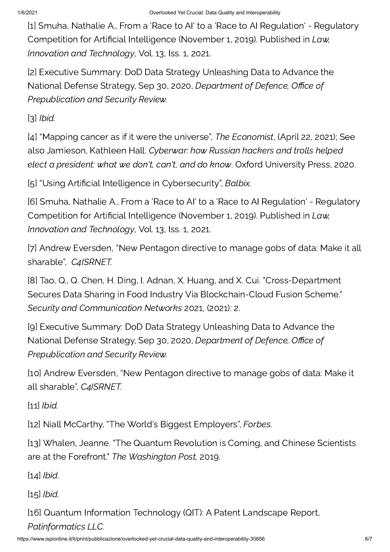[1] Smuha, Nathalie A., From a 'Race to AI' to a 'Race to AI Regulation' - Regulatory Competition for Artificial Intelligence (November 1, 2019). Published in Law, Innovation and Technology, Vol. 13, Iss. 1, 2021.

[2] Executive Summary: DoD Data Strategy Unleashing Data to Advance the National Defense Strategy, Sep 30, 2020, Department of Defence, Office of Prepublication and Security Review.

[3] Ibid.

[4] "Mapping cancer as if it were the universe", The Economist, (April 22, 2021); See also Jamieson, Kathleen Hall. Cyberwar: how Russian hackers and trolls helped elect a president: what we don't, can't, and do know. Oxford University Press, 2020.

[5] "Using Artificial Intelligence in Cybersecurity", Balbix.

[6] Smuha, Nathalie A., From a 'Race to AI' to a 'Race to AI Regulation' - Regulatory Competition for Artificial Intelligence (November 1, 2019). Published in Law, Innovation and Technology, Vol. 13, Iss. 1, 2021.

[7] Andrew Eversden, "New Pentagon directive to manage gobs of data: Make it all sharable", C4ISRNET.

[8] Tao, Q., Q. Chen, H. Ding, I. Adnan, X. Huang, and X. Cui. "Cross-Department Secures Data Sharing in Food Industry Via Blockchain-Cloud Fusion Scheme." Security and Communication Networks 2021, (2021): 2.

[9] Executive Summary: DoD Data Strategy Unleashing Data to Advance the National Defense Strategy, Sep 30, 2020, Department of Defence, Office of Prepublication and Security Review.

[10] Andrew Eversden, "New Pentagon directive to manage gobs of data: Make it all sharable", C4ISRNET.

[11] *Ibid.* 

[12] Niall McCarthy, "The World's Biggest Employers", Forbes.

[13] Whalen, Jeanne. "The Quantum Revolution is Coming, and Chinese Scientists are at the Forefront." The Washington Post, 2019.

[14] Ibid.

[15] Ibid.

[16] Quantum Information Technology (QIT): A Patent Landscape Report, Patinformatics LLC.